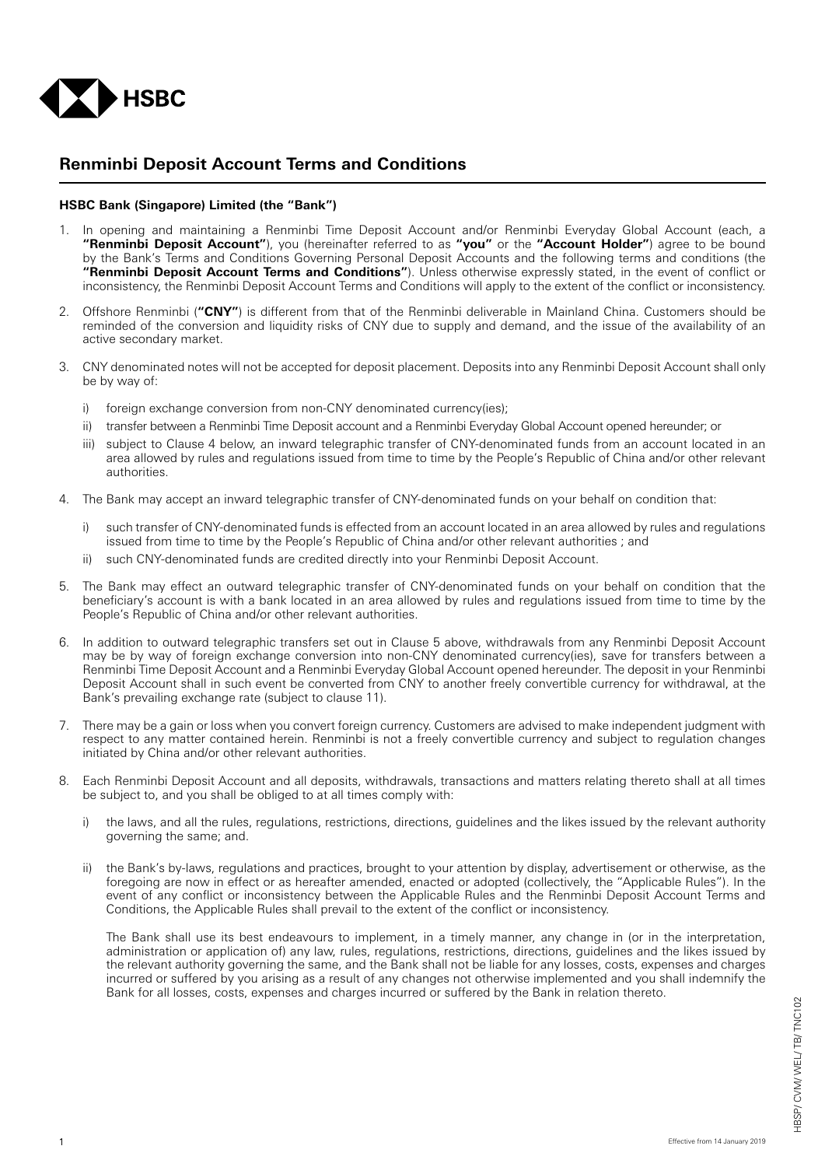

## **Renminbi Deposit Account Terms and Conditions**

## **HSBC Bank (Singapore) Limited (the "Bank")**

- In opening and maintaining a Renminbi Time Deposit Account and/or Renminbi Everyday Global Account (each, a **"Renminbi Deposit Account"**), you (hereinafter referred to as **"you"** or the **"Account Holder"**) agree to be bound by the Bank's Terms and Conditions Governing Personal Deposit Accounts and the following terms and conditions (the **"Renminbi Deposit Account Terms and Conditions"**). Unless otherwise expressly stated, in the event of conflict or inconsistency, the Renminbi Deposit Account Terms and Conditions will apply to the extent of the conflict or inconsistency.
- 2. Offshore Renminbi (**"CNY"**) is different from that of the Renminbi deliverable in Mainland China. Customers should be reminded of the conversion and liquidity risks of CNY due to supply and demand, and the issue of the availability of an active secondary market.
- 3. CNY denominated notes will not be accepted for deposit placement. Deposits into any Renminbi Deposit Account shall only be by way of:
	- i) foreign exchange conversion from non-CNY denominated currency(ies):
	- ii) transfer between a Renminbi Time Deposit account and a Renminbi Everyday Global Account opened hereunder; or
	- iii) subject to Clause 4 below, an inward telegraphic transfer of CNY-denominated funds from an account located in an area allowed by rules and regulations issued from time to time by the People's Republic of China and/or other relevant authorities.
- 4. The Bank may accept an inward telegraphic transfer of CNY-denominated funds on your behalf on condition that:
	- i) such transfer of CNY-denominated funds is effected from an account located in an area allowed by rules and regulations issued from time to time by the People's Republic of China and/or other relevant authorities ; and
	- ii) such CNY-denominated funds are credited directly into your Renminbi Deposit Account.
- 5. The Bank may effect an outward telegraphic transfer of CNY-denominated funds on your behalf on condition that the beneficiary's account is with a bank located in an area allowed by rules and regulations issued from time to time by the People's Republic of China and/or other relevant authorities.
- 6. In addition to outward telegraphic transfers set out in Clause 5 above, withdrawals from any Renminbi Deposit Account may be by way of foreign exchange conversion into non-CNY denominated currency(ies), save for transfers between a Renminbi Time Deposit Account and a Renminbi Everyday Global Account opened hereunder. The deposit in your Renminbi Deposit Account shall in such event be converted from CNY to another freely convertible currency for withdrawal, at the Bank's prevailing exchange rate (subject to clause 11).
- 7. There may be a gain or loss when you convert foreign currency. Customers are advised to make independent judgment with respect to any matter contained herein. Renminbi is not a freely convertible currency and subject to regulation changes initiated by China and/or other relevant authorities.
- 8. Each Renminbi Deposit Account and all deposits, withdrawals, transactions and matters relating thereto shall at all times be subject to, and you shall be obliged to at all times comply with:
	- i) the laws, and all the rules, regulations, restrictions, directions, guidelines and the likes issued by the relevant authority governing the same; and.
	- ii) the Bank's by-laws, regulations and practices, brought to your attention by display, advertisement or otherwise, as the foregoing are now in effect or as hereafter amended, enacted or adopted (collectively, the "Applicable Rules"). In the event of any conflict or inconsistency between the Applicable Rules and the Renminbi Deposit Account Terms and Conditions, the Applicable Rules shall prevail to the extent of the conflict or inconsistency.

 The Bank shall use its best endeavours to implement, in a timely manner, any change in (or in the interpretation, administration or application of) any law, rules, regulations, restrictions, directions, guidelines and the likes issued by the relevant authority governing the same, and the Bank shall not be liable for any losses, costs, expenses and charges incurred or suffered by you arising as a result of any changes not otherwise implemented and you shall indemnify the Bank for all losses, costs, expenses and charges incurred or suffered by the Bank in relation thereto.